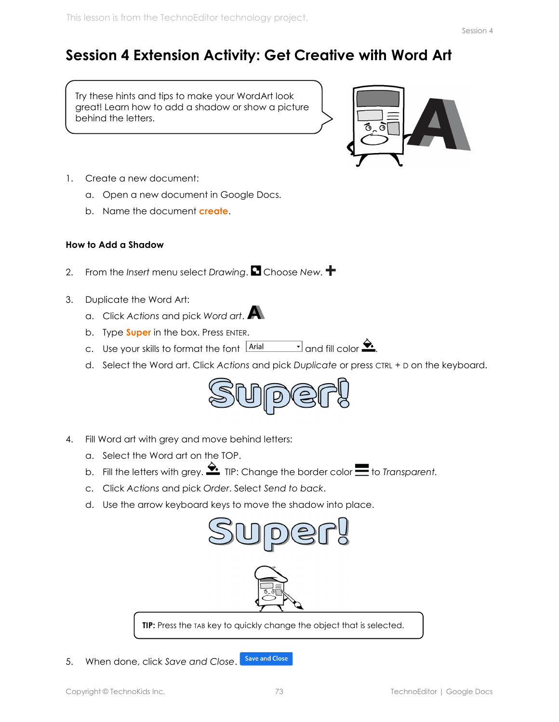## Session 4 Extension Activity: Get Creative with Word Art

Try these hints and tips to make your WordArt look great! Learn how to add a shadow or show a picture behind the letters.



- 1. Create a new document:
	- a. Open a new document in Google Docs.
	- b. Name the document **create**.

## How to Add a Shadow

- 2. From the Insert menu select Drawing.  $\blacksquare$  Choose New.  $\blacktriangleright$
- 3. Duplicate the Word Art:
	- a. Click Actions and pick Word art.
	- b. Type **Super** in the box. Press ENTER.
	- c. Use your skills to format the font  $\frac{|\text{Arial}|}{|\text{Arial}|}$  and fill color  $\blacktriangleright$ .
	- d. Select the Word art. Click Actions and pick Duplicate or press CTRL + D on the keyboard.



- 4. Fill Word art with grey and move behind letters:
	- a. Select the Word art on the TOP.
	- b. Fill the letters with grey.  $\hat{\mathbf{S}}$ . TIP: Change the border color  $\blacksquare$  to Transparent.
	- c. Click Actions and pick Order. Select Send to back.
	- d. Use the arrow keyboard keys to move the shadow into place.



**Save and Close** 5. When done, click Save and Close.